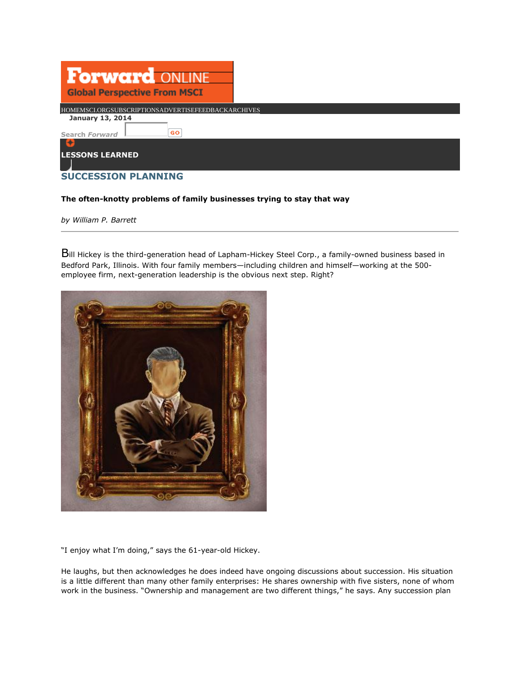| Forward ON<br><b>Global Perspective From MSCI</b>  |  |
|----------------------------------------------------|--|
| HOMEMSCI.ORGSUBSCRIPTIONSADVERTISEFEEDBACKARCHIVES |  |
| <b>January 13, 2014</b><br>GO<br>Search Forward    |  |
|                                                    |  |
| <b>LESSONS LEARNED</b>                             |  |
| <b>SUCCESSION PLANNING</b>                         |  |

#### **The often-knotty problems of family businesses trying to stay that way**

*by William P. Barrett* 

Bill Hickey is the third-generation head of Lapham-Hickey Steel Corp., a family-owned business based in Bedford Park, Illinois. With four family members—including children and himself—working at the 500 employee firm, next-generation leadership is the obvious next step. Right?



"I enjoy what I'm doing," says the 61-year-old Hickey.

He laughs, but then acknowledges he does indeed have ongoing discussions about succession. His situation is a little different than many other family enterprises: He shares ownership with five sisters, none of whom work in the business. "Ownership and management are two different things," he says. Any succession plan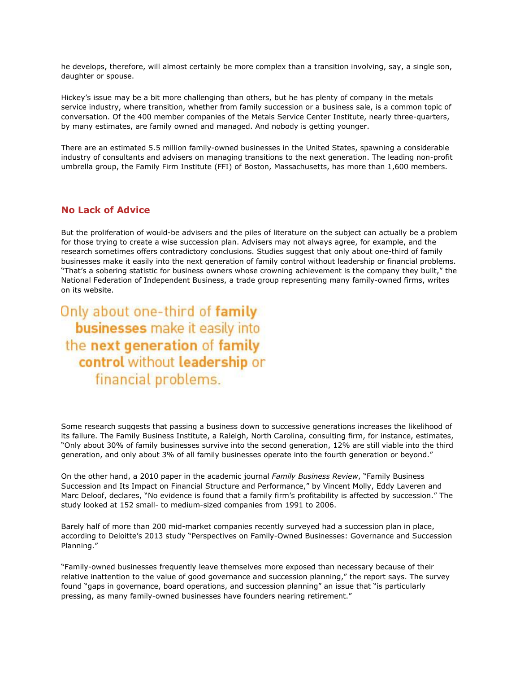he develops, therefore, will almost certainly be more complex than a transition involving, say, a single son, daughter or spouse.

Hickey's issue may be a bit more challenging than others, but he has plenty of company in the metals service industry, where transition, whether from family succession or a business sale, is a common topic of conversation. Of the 400 member companies of the Metals Service Center Institute, nearly three-quarters, by many estimates, are family owned and managed. And nobody is getting younger.

There are an estimated 5.5 million family-owned businesses in the United States, spawning a considerable industry of consultants and advisers on managing transitions to the next generation. The leading non-profit umbrella group, the Family Firm Institute (FFI) of Boston, Massachusetts, has more than 1,600 members.

## **No Lack of Advice**

But the proliferation of would-be advisers and the piles of literature on the subject can actually be a problem for those trying to create a wise succession plan. Advisers may not always agree, for example, and the research sometimes offers contradictory conclusions. Studies suggest that only about one-third of family businesses make it easily into the next generation of family control without leadership or financial problems. "That's a sobering statistic for business owners whose crowning achievement is the company they built," the National Federation of Independent Business, a trade group representing many family-owned firms, writes on its website.

Only about one-third of family businesses make it easily into the next generation of family control without leadership or financial problems.

Some research suggests that passing a business down to successive generations increases the likelihood of its failure. The Family Business Institute, a Raleigh, North Carolina, consulting firm, for instance, estimates, "Only about 30% of family businesses survive into the second generation, 12% are still viable into the third generation, and only about 3% of all family businesses operate into the fourth generation or beyond."

On the other hand, a 2010 paper in the academic journal *Family Business Review*, "Family Business Succession and Its Impact on Financial Structure and Performance," by Vincent Molly, Eddy Laveren and Marc Deloof, declares, "No evidence is found that a family firm's profitability is affected by succession." The study looked at 152 small- to medium-sized companies from 1991 to 2006.

Barely half of more than 200 mid-market companies recently surveyed had a succession plan in place, according to Deloitte's 2013 study "Perspectives on Family-Owned Businesses: Governance and Succession Planning."

"Family-owned businesses frequently leave themselves more exposed than necessary because of their relative inattention to the value of good governance and succession planning," the report says. The survey found "gaps in governance, board operations, and succession planning" an issue that "is particularly pressing, as many family-owned businesses have founders nearing retirement."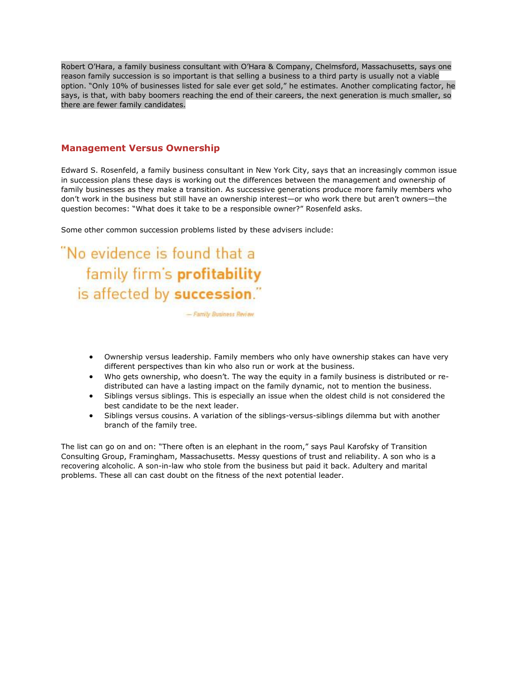Robert O'Hara, a family business consultant with O'Hara & Company, Chelmsford, Massachusetts, says one reason family succession is so important is that selling a business to a third party is usually not a viable option. "Only 10% of businesses listed for sale ever get sold," he estimates. Another complicating factor, he says, is that, with baby boomers reaching the end of their careers, the next generation is much smaller, so there are fewer family candidates.

#### **Management Versus Ownership**

Edward S. Rosenfeld, a family business consultant in New York City, says that an increasingly common issue in succession plans these days is working out the differences between the management and ownership of family businesses as they make a transition. As successive generations produce more family members who don't work in the business but still have an ownership interest—or who work there but aren't owners—the question becomes: "What does it take to be a responsible owner?" Rosenfeld asks.

Some other common succession problems listed by these advisers include:

"No evidence is found that a family firm's profitability is affected by succession."

- Family Business Review

- Ownership versus leadership. Family members who only have ownership stakes can have very different perspectives than kin who also run or work at the business.
- Who gets ownership, who doesn't. The way the equity in a family business is distributed or redistributed can have a lasting impact on the family dynamic, not to mention the business.
- Siblings versus siblings. This is especially an issue when the oldest child is not considered the best candidate to be the next leader.
- Siblings versus cousins. A variation of the siblings-versus-siblings dilemma but with another branch of the family tree.

The list can go on and on: "There often is an elephant in the room," says Paul Karofsky of Transition Consulting Group, Framingham, Massachusetts. Messy questions of trust and reliability. A son who is a recovering alcoholic. A son-in-law who stole from the business but paid it back. Adultery and marital problems. These all can cast doubt on the fitness of the next potential leader.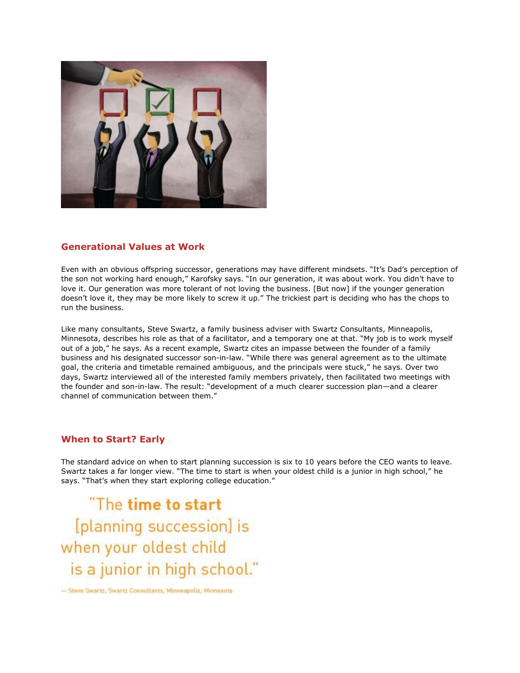

# **Generational Values at Work**

Even with an obvious offspring successor, generations may have different mindsets. "It's Dad's perception of the son not working hard enough," Karofsky says. "In our generation, it was about work. You didn't have to love it. Our generation was more tolerant of not loving the business. [But now] if the younger generation doesn't love it, they may be more likely to screw it up." The trickiest part is deciding who has the chops to run the business.

Like many consultants, Steve Swartz, a family business adviser with Swartz Consultants, Minneapolis, Minnesota, describes his role as that of a facilitator, and a temporary one at that. "My job is to work myself out of a job," he says. As a recent example, Swartz cites an impasse between the founder of a family business and his designated successor son-in-law. "While there was general agreement as to the ultimate goal, the criteria and timetable remained ambiguous, and the principals were stuck," he says. Over two days, Swartz interviewed all of the interested family members privately, then facilitated two meetings with the founder and son-in-law. The result: "development of a much clearer succession plan—and a clearer channel of communication between them."

# **When to Start? Early**

The standard advice on when to start planning succession is six to 10 years before the CEO wants to leave. Swartz takes a far longer view. "The time to start is when your oldest child is a junior in high school," he says. "That's when they start exploring college education."

"The time to start [planning succession] is when your oldest child is a junior in high school."

- Steve Swartz, Swartz Consultants, Minneapolis, Minnesota